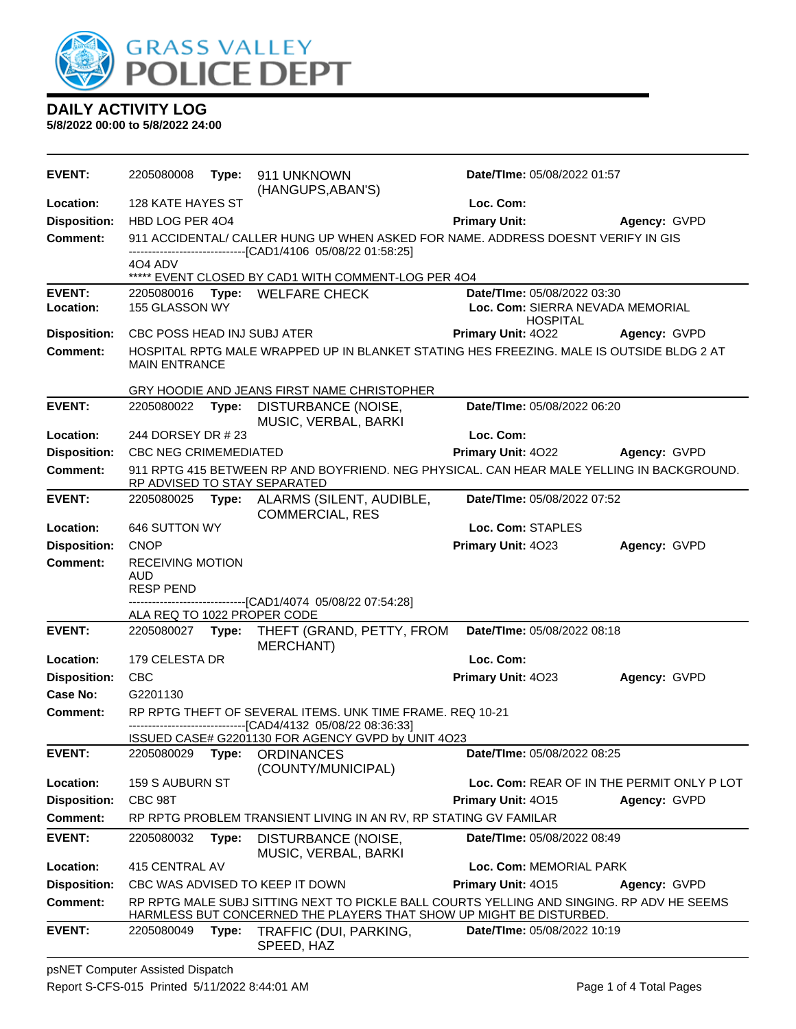

**5/8/2022 00:00 to 5/8/2022 24:00**

| <b>EVENT:</b>       | 2205080008                                                                                                                | Type: | 911 UNKNOWN<br>(HANGUPS, ABAN'S)                                                                                                                                 | Date/TIme: 05/08/2022 01:57                         |              |
|---------------------|---------------------------------------------------------------------------------------------------------------------------|-------|------------------------------------------------------------------------------------------------------------------------------------------------------------------|-----------------------------------------------------|--------------|
| Location:           | 128 KATE HAYES ST                                                                                                         |       |                                                                                                                                                                  | Loc. Com:                                           |              |
| <b>Disposition:</b> | HBD LOG PER 404                                                                                                           |       |                                                                                                                                                                  | <b>Primary Unit:</b>                                | Agency: GVPD |
| <b>Comment:</b>     |                                                                                                                           |       | 911 ACCIDENTAL/ CALLER HUNG UP WHEN ASKED FOR NAME. ADDRESS DOESNT VERIFY IN GIS<br>----------------------[CAD1/4106 05/08/22 01:58:25]                          |                                                     |              |
|                     | 4O4 ADV                                                                                                                   |       |                                                                                                                                                                  |                                                     |              |
| <b>EVENT:</b>       |                                                                                                                           |       | ***** EVENT CLOSED BY CAD1 WITH COMMENT-LOG PER 404<br>2205080016 Type: WELFARE CHECK                                                                            | Date/TIme: 05/08/2022 03:30                         |              |
| Location:           | 155 GLASSON WY                                                                                                            |       |                                                                                                                                                                  | Loc. Com: SIERRA NEVADA MEMORIAL<br><b>HOSPITAL</b> |              |
| <b>Disposition:</b> | CBC POSS HEAD INJ SUBJ ATER                                                                                               |       |                                                                                                                                                                  | <b>Primary Unit: 4022</b>                           | Agency: GVPD |
| <b>Comment:</b>     | <b>MAIN ENTRANCE</b>                                                                                                      |       | HOSPITAL RPTG MALE WRAPPED UP IN BLANKET STATING HES FREEZING. MALE IS OUTSIDE BLDG 2 AT                                                                         |                                                     |              |
|                     |                                                                                                                           |       | GRY HOODIE AND JEANS FIRST NAME CHRISTOPHER                                                                                                                      |                                                     |              |
| <b>EVENT:</b>       | 2205080022                                                                                                                | Type: | DISTURBANCE (NOISE,<br>MUSIC, VERBAL, BARKI                                                                                                                      | Date/TIme: 05/08/2022 06:20                         |              |
| Location:           | 244 DORSEY DR # 23                                                                                                        |       |                                                                                                                                                                  | Loc. Com:                                           |              |
| <b>Disposition:</b> | <b>CBC NEG CRIMEMEDIATED</b>                                                                                              |       |                                                                                                                                                                  | Primary Unit: 4022                                  | Agency: GVPD |
| Comment:            |                                                                                                                           |       | 911 RPTG 415 BETWEEN RP AND BOYFRIEND. NEG PHYSICAL. CAN HEAR MALE YELLING IN BACKGROUND.<br>RP ADVISED TO STAY SEPARATED                                        |                                                     |              |
| <b>EVENT:</b>       | 2205080025 Type:                                                                                                          |       | ALARMS (SILENT, AUDIBLE,<br><b>COMMERCIAL, RES</b>                                                                                                               | Date/TIme: 05/08/2022 07:52                         |              |
| Location:           | 646 SUTTON WY                                                                                                             |       |                                                                                                                                                                  | Loc. Com: STAPLES                                   |              |
| <b>Disposition:</b> | <b>CNOP</b>                                                                                                               |       |                                                                                                                                                                  | Primary Unit: 4023                                  | Agency: GVPD |
| <b>Comment:</b>     | <b>RECEIVING MOTION</b>                                                                                                   |       |                                                                                                                                                                  |                                                     |              |
|                     | <b>AUD</b><br><b>RESP PEND</b>                                                                                            |       |                                                                                                                                                                  |                                                     |              |
|                     |                                                                                                                           |       | ----------------[CAD1/4074 05/08/22 07:54:28]                                                                                                                    |                                                     |              |
|                     | ALA REQ TO 1022 PROPER CODE                                                                                               |       |                                                                                                                                                                  |                                                     |              |
| <b>EVENT:</b>       | 2205080027                                                                                                                | Type: | THEFT (GRAND, PETTY, FROM<br>MERCHANT)                                                                                                                           | Date/TIme: 05/08/2022 08:18                         |              |
| Location:           | 179 CELESTA DR                                                                                                            |       |                                                                                                                                                                  | Loc. Com:                                           |              |
| <b>Disposition:</b> | <b>CBC</b>                                                                                                                |       |                                                                                                                                                                  | Primary Unit: 4023                                  | Agency: GVPD |
| Case No:            | G2201130                                                                                                                  |       |                                                                                                                                                                  |                                                     |              |
| Comment:            | RP RPTG THEFT OF SEVERAL ITEMS. UNK TIME FRAME. REQ 10-21<br>-------------------------------[CAD4/4132 05/08/22 08:36:33] |       |                                                                                                                                                                  |                                                     |              |
|                     |                                                                                                                           |       | ISSUED CASE# G2201130 FOR AGENCY GVPD by UNIT 4O23                                                                                                               |                                                     |              |
| <b>EVENT:</b>       | 2205080029                                                                                                                | Type: | <b>ORDINANCES</b><br>(COUNTY/MUNICIPAL)                                                                                                                          | Date/TIme: 05/08/2022 08:25                         |              |
| Location:           | <b>159 S AUBURN ST</b>                                                                                                    |       |                                                                                                                                                                  | Loc. Com: REAR OF IN THE PERMIT ONLY P LOT          |              |
| <b>Disposition:</b> | CBC 98T                                                                                                                   |       |                                                                                                                                                                  | Primary Unit: 4015                                  | Agency: GVPD |
| <b>Comment:</b>     |                                                                                                                           |       | RP RPTG PROBLEM TRANSIENT LIVING IN AN RV, RP STATING GV FAMILAR                                                                                                 |                                                     |              |
| <b>EVENT:</b>       | 2205080032                                                                                                                | Type: | DISTURBANCE (NOISE,<br>MUSIC, VERBAL, BARKI                                                                                                                      | Date/TIme: 05/08/2022 08:49                         |              |
| Location:           | 415 CENTRAL AV                                                                                                            |       |                                                                                                                                                                  | Loc. Com: MEMORIAL PARK                             |              |
| <b>Disposition:</b> | CBC WAS ADVISED TO KEEP IT DOWN<br>Primary Unit: 4015<br>Agency: GVPD                                                     |       |                                                                                                                                                                  |                                                     |              |
| <b>Comment:</b>     |                                                                                                                           |       |                                                                                                                                                                  |                                                     |              |
|                     |                                                                                                                           |       | RP RPTG MALE SUBJ SITTING NEXT TO PICKLE BALL COURTS YELLING AND SINGING. RP ADV HE SEEMS<br>HARMLESS BUT CONCERNED THE PLAYERS THAT SHOW UP MIGHT BE DISTURBED. |                                                     |              |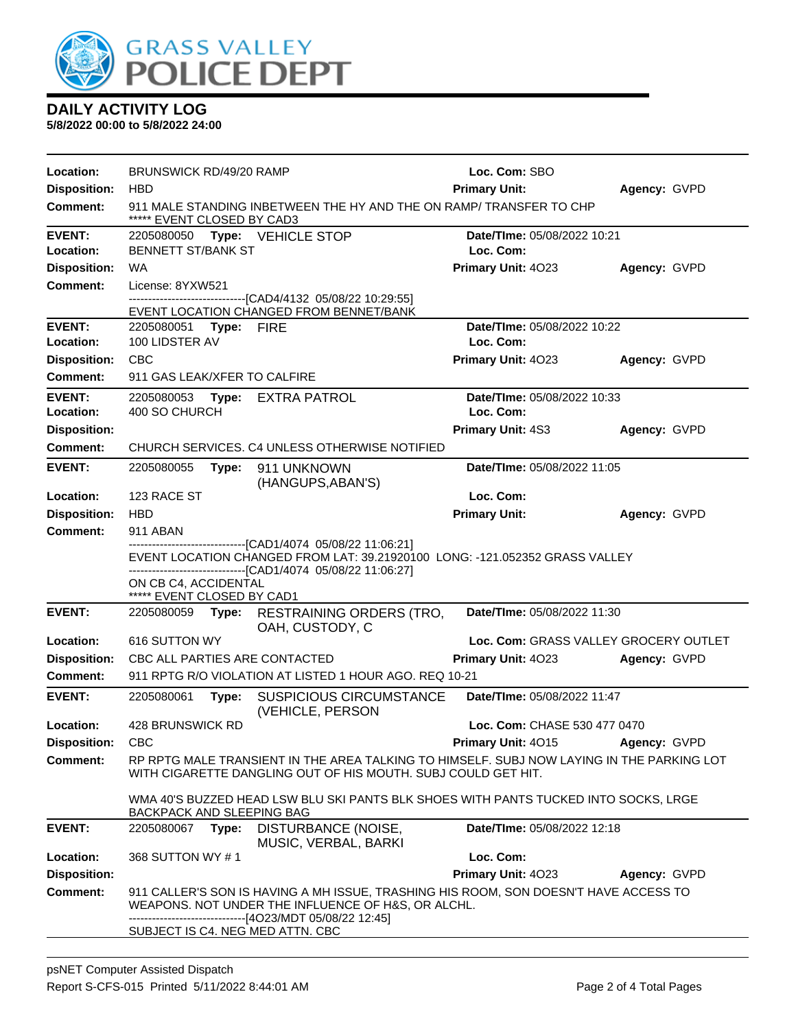

**5/8/2022 00:00 to 5/8/2022 24:00**

| Location:           | BRUNSWICK RD/49/20 RAMP                                                                                                                                                                                                                                                        |                                                                                                  |                                                                                                                                                                                                | Loc. Com: SBO                         |              |  |
|---------------------|--------------------------------------------------------------------------------------------------------------------------------------------------------------------------------------------------------------------------------------------------------------------------------|--------------------------------------------------------------------------------------------------|------------------------------------------------------------------------------------------------------------------------------------------------------------------------------------------------|---------------------------------------|--------------|--|
| <b>Disposition:</b> | <b>HBD</b>                                                                                                                                                                                                                                                                     |                                                                                                  |                                                                                                                                                                                                | <b>Primary Unit:</b>                  | Agency: GVPD |  |
| <b>Comment:</b>     |                                                                                                                                                                                                                                                                                | 911 MALE STANDING INBETWEEN THE HY AND THE ON RAMP/TRANSFER TO CHP<br>***** EVENT CLOSED BY CAD3 |                                                                                                                                                                                                |                                       |              |  |
| <b>EVENT:</b>       |                                                                                                                                                                                                                                                                                |                                                                                                  | 2205080050 Type: VEHICLE STOP                                                                                                                                                                  | Date/TIme: 05/08/2022 10:21           |              |  |
| Location:           | <b>BENNETT ST/BANK ST</b>                                                                                                                                                                                                                                                      |                                                                                                  |                                                                                                                                                                                                | Loc. Com:                             |              |  |
| <b>Disposition:</b> | <b>WA</b>                                                                                                                                                                                                                                                                      |                                                                                                  |                                                                                                                                                                                                | Primary Unit: 4023                    | Agency: GVPD |  |
| <b>Comment:</b>     | License: 8YXW521                                                                                                                                                                                                                                                               |                                                                                                  |                                                                                                                                                                                                |                                       |              |  |
|                     |                                                                                                                                                                                                                                                                                |                                                                                                  | ------------------------[CAD4/4132 05/08/22 10:29:55]<br>EVENT LOCATION CHANGED FROM BENNET/BANK                                                                                               |                                       |              |  |
| <b>EVENT:</b>       | 2205080051 Type: FIRE                                                                                                                                                                                                                                                          |                                                                                                  |                                                                                                                                                                                                | Date/TIme: 05/08/2022 10:22           |              |  |
| Location:           | 100 LIDSTER AV                                                                                                                                                                                                                                                                 |                                                                                                  |                                                                                                                                                                                                | Loc. Com:                             |              |  |
| <b>Disposition:</b> | <b>CBC</b>                                                                                                                                                                                                                                                                     |                                                                                                  |                                                                                                                                                                                                | Primary Unit: 4023                    | Agency: GVPD |  |
| <b>Comment:</b>     | 911 GAS LEAK/XFER TO CALFIRE                                                                                                                                                                                                                                                   |                                                                                                  |                                                                                                                                                                                                |                                       |              |  |
| <b>EVENT:</b>       | 2205080053 Type:                                                                                                                                                                                                                                                               |                                                                                                  | <b>EXTRA PATROL</b>                                                                                                                                                                            | Date/TIme: 05/08/2022 10:33           |              |  |
| Location:           | 400 SO CHURCH                                                                                                                                                                                                                                                                  |                                                                                                  |                                                                                                                                                                                                | Loc. Com:                             |              |  |
| <b>Disposition:</b> |                                                                                                                                                                                                                                                                                |                                                                                                  |                                                                                                                                                                                                | Primary Unit: 4S3                     | Agency: GVPD |  |
| <b>Comment:</b>     |                                                                                                                                                                                                                                                                                |                                                                                                  | CHURCH SERVICES. C4 UNLESS OTHERWISE NOTIFIED                                                                                                                                                  |                                       |              |  |
| <b>EVENT:</b>       | 2205080055                                                                                                                                                                                                                                                                     | Type:                                                                                            | 911 UNKNOWN<br>(HANGUPS, ABAN'S)                                                                                                                                                               | Date/TIme: 05/08/2022 11:05           |              |  |
| Location:           | 123 RACE ST                                                                                                                                                                                                                                                                    |                                                                                                  |                                                                                                                                                                                                | Loc. Com:                             |              |  |
| <b>Disposition:</b> | <b>HBD</b>                                                                                                                                                                                                                                                                     |                                                                                                  |                                                                                                                                                                                                | <b>Primary Unit:</b>                  | Agency: GVPD |  |
| Comment:            | <b>911 ABAN</b>                                                                                                                                                                                                                                                                |                                                                                                  |                                                                                                                                                                                                |                                       |              |  |
|                     |                                                                                                                                                                                                                                                                                |                                                                                                  | --------------------------[CAD1/4074_05/08/22 11:06:21]<br>EVENT LOCATION CHANGED FROM LAT: 39.21920100 LONG: -121.052352 GRASS VALLEY                                                         |                                       |              |  |
|                     | ON CB C4, ACCIDENTAL<br>***** EVENT CLOSED BY CAD1                                                                                                                                                                                                                             |                                                                                                  | ------------------------------[CAD1/4074 05/08/22 11:06:27]                                                                                                                                    |                                       |              |  |
| <b>EVENT:</b>       | 2205080059                                                                                                                                                                                                                                                                     |                                                                                                  | Type: RESTRAINING ORDERS (TRO,<br>OAH, CUSTODY, C                                                                                                                                              | Date/TIme: 05/08/2022 11:30           |              |  |
| Location:           | 616 SUTTON WY                                                                                                                                                                                                                                                                  |                                                                                                  |                                                                                                                                                                                                | Loc. Com: GRASS VALLEY GROCERY OUTLET |              |  |
| <b>Disposition:</b> |                                                                                                                                                                                                                                                                                |                                                                                                  | CBC ALL PARTIES ARE CONTACTED                                                                                                                                                                  | <b>Primary Unit: 4023</b>             | Agency: GVPD |  |
| <b>Comment:</b>     |                                                                                                                                                                                                                                                                                |                                                                                                  | 911 RPTG R/O VIOLATION AT LISTED 1 HOUR AGO. REQ 10-21                                                                                                                                         |                                       |              |  |
| <b>EVENT:</b>       | 2205080061                                                                                                                                                                                                                                                                     | Type:                                                                                            | SUSPICIOUS CIRCUMSTANCE<br>(VEHICLE, PERSON                                                                                                                                                    | Date/TIme: 05/08/2022 11:47           |              |  |
| Location:           | 428 BRUNSWICK RD<br>Loc. Com: CHASE 530 477 0470                                                                                                                                                                                                                               |                                                                                                  |                                                                                                                                                                                                |                                       |              |  |
| <b>Disposition:</b> | CBC                                                                                                                                                                                                                                                                            |                                                                                                  |                                                                                                                                                                                                | <b>Primary Unit: 4015</b>             | Agency: GVPD |  |
| Comment:            | RP RPTG MALE TRANSIENT IN THE AREA TALKING TO HIMSELF. SUBJ NOW LAYING IN THE PARKING LOT<br>WITH CIGARETTE DANGLING OUT OF HIS MOUTH. SUBJ COULD GET HIT.<br>WMA 40'S BUZZED HEAD LSW BLU SKI PANTS BLK SHOES WITH PANTS TUCKED INTO SOCKS, LRGE<br>BACKPACK AND SLEEPING BAG |                                                                                                  |                                                                                                                                                                                                |                                       |              |  |
|                     |                                                                                                                                                                                                                                                                                |                                                                                                  |                                                                                                                                                                                                |                                       |              |  |
| <b>EVENT:</b>       | 2205080067 Type:                                                                                                                                                                                                                                                               |                                                                                                  | DISTURBANCE (NOISE,<br>MUSIC, VERBAL, BARKI                                                                                                                                                    | Date/TIme: 05/08/2022 12:18           |              |  |
| Location:           | 368 SUTTON WY #1                                                                                                                                                                                                                                                               |                                                                                                  |                                                                                                                                                                                                | Loc. Com:                             |              |  |
| <b>Disposition:</b> |                                                                                                                                                                                                                                                                                |                                                                                                  |                                                                                                                                                                                                | Primary Unit: 4023                    | Agency: GVPD |  |
| <b>Comment:</b>     |                                                                                                                                                                                                                                                                                |                                                                                                  | 911 CALLER'S SON IS HAVING A MH ISSUE, TRASHING HIS ROOM, SON DOESN'T HAVE ACCESS TO<br>WEAPONS. NOT UNDER THE INFLUENCE OF H&S, OR ALCHL.<br>-----------------------[4O23/MDT 05/08/22 12:45] |                                       |              |  |
|                     |                                                                                                                                                                                                                                                                                |                                                                                                  | SUBJECT IS C4. NEG MED ATTN. CBC                                                                                                                                                               |                                       |              |  |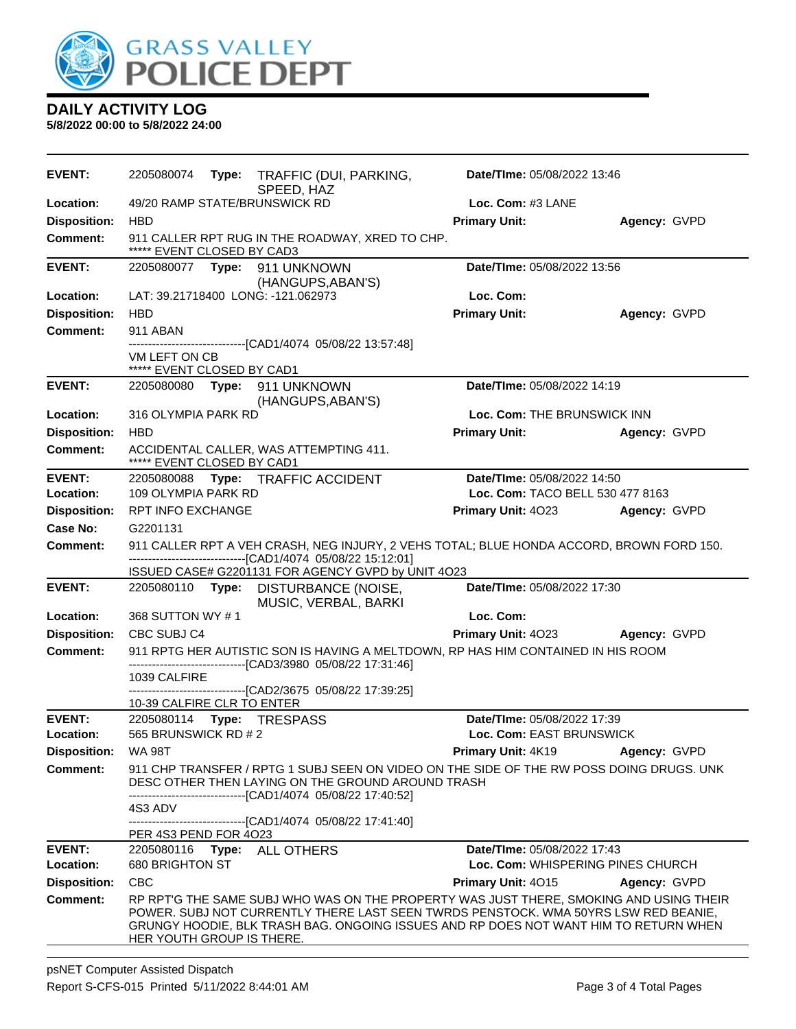

**5/8/2022 00:00 to 5/8/2022 24:00**

| <b>EVENT:</b>                          | 2205080074                                                                                                                                                                                                                                                                                         | Date/TIme: 05/08/2022 13:46<br>Type: TRAFFIC (DUI, PARKING,<br>SPEED, HAZ |                                                              |                                                                  |                             |  |
|----------------------------------------|----------------------------------------------------------------------------------------------------------------------------------------------------------------------------------------------------------------------------------------------------------------------------------------------------|---------------------------------------------------------------------------|--------------------------------------------------------------|------------------------------------------------------------------|-----------------------------|--|
| Location:                              |                                                                                                                                                                                                                                                                                                    |                                                                           | 49/20 RAMP STATE/BRUNSWICK RD                                | Loc. Com: #3 LANE                                                |                             |  |
| <b>Disposition:</b>                    | <b>HBD</b>                                                                                                                                                                                                                                                                                         |                                                                           |                                                              | <b>Primary Unit:</b>                                             | Agency: GVPD                |  |
| <b>Comment:</b>                        | ***** EVENT CLOSED BY CAD3                                                                                                                                                                                                                                                                         |                                                                           | 911 CALLER RPT RUG IN THE ROADWAY, XRED TO CHP.              |                                                                  |                             |  |
| <b>EVENT:</b>                          |                                                                                                                                                                                                                                                                                                    |                                                                           |                                                              | Date/TIme: 05/08/2022 13:56                                      |                             |  |
| Location:                              |                                                                                                                                                                                                                                                                                                    |                                                                           | (HANGUPS, ABAN'S)<br>LAT: 39.21718400 LONG: -121.062973      | Loc. Com:                                                        |                             |  |
| <b>Disposition:</b>                    | <b>HBD</b>                                                                                                                                                                                                                                                                                         |                                                                           |                                                              | <b>Primary Unit:</b>                                             | Agency: GVPD                |  |
| Comment:                               | 911 ABAN                                                                                                                                                                                                                                                                                           |                                                                           |                                                              |                                                                  |                             |  |
|                                        |                                                                                                                                                                                                                                                                                                    |                                                                           |                                                              |                                                                  |                             |  |
|                                        | VM LEFT ON CB<br>***** EVENT CLOSED BY CAD1                                                                                                                                                                                                                                                        |                                                                           |                                                              |                                                                  |                             |  |
| <b>EVENT:</b>                          |                                                                                                                                                                                                                                                                                                    |                                                                           | 2205080080 Type: 911 UNKNOWN<br>(HANGUPS, ABAN'S)            | Date/TIme: 05/08/2022 14:19                                      |                             |  |
| Location:                              | 316 OLYMPIA PARK RD                                                                                                                                                                                                                                                                                |                                                                           |                                                              | Loc. Com: THE BRUNSWICK INN                                      |                             |  |
| <b>Disposition:</b>                    | <b>HBD</b>                                                                                                                                                                                                                                                                                         |                                                                           |                                                              | <b>Primary Unit:</b>                                             | Agency: GVPD                |  |
| <b>Comment:</b>                        | ***** EVENT CLOSED BY CAD1                                                                                                                                                                                                                                                                         |                                                                           | ACCIDENTAL CALLER, WAS ATTEMPTING 411.                       |                                                                  |                             |  |
| <b>EVENT:</b>                          | 2205080088                                                                                                                                                                                                                                                                                         |                                                                           | Type: TRAFFIC ACCIDENT                                       |                                                                  | Date/TIme: 05/08/2022 14:50 |  |
| Location:                              | 109 OLYMPIA PARK RD                                                                                                                                                                                                                                                                                |                                                                           |                                                              | Loc. Com: TACO BELL 530 477 8163                                 |                             |  |
| <b>Disposition:</b>                    | <b>RPT INFO EXCHANGE</b>                                                                                                                                                                                                                                                                           |                                                                           |                                                              | Primary Unit: 4023                                               | Agency: GVPD                |  |
| <b>Case No:</b>                        | G2201131                                                                                                                                                                                                                                                                                           |                                                                           |                                                              |                                                                  |                             |  |
| Comment:                               | 911 CALLER RPT A VEH CRASH, NEG INJURY, 2 VEHS TOTAL; BLUE HONDA ACCORD, BROWN FORD 150.<br>------------------------------[CAD1/4074 05/08/22 15:12:01]<br>ISSUED CASE# G2201131 FOR AGENCY GVPD by UNIT 4O23                                                                                      |                                                                           |                                                              |                                                                  |                             |  |
| <b>EVENT:</b>                          |                                                                                                                                                                                                                                                                                                    |                                                                           | 2205080110 Type: DISTURBANCE (NOISE,                         | Date/TIme: 05/08/2022 17:30                                      |                             |  |
|                                        |                                                                                                                                                                                                                                                                                                    |                                                                           | MUSIC, VERBAL, BARKI                                         |                                                                  |                             |  |
| Location:                              | 368 SUTTON WY #1                                                                                                                                                                                                                                                                                   |                                                                           |                                                              | Loc. Com:                                                        |                             |  |
| <b>Disposition:</b>                    | CBC SUBJ C4                                                                                                                                                                                                                                                                                        |                                                                           |                                                              | Primary Unit: 4023                                               | Agency: GVPD                |  |
| <b>Comment:</b>                        | 911 RPTG HER AUTISTIC SON IS HAVING A MELTDOWN, RP HAS HIM CONTAINED IN HIS ROOM<br>--------------------------------[CAD3/3980 05/08/22 17:31:46]                                                                                                                                                  |                                                                           |                                                              |                                                                  |                             |  |
|                                        | 1039 CALFIRE                                                                                                                                                                                                                                                                                       |                                                                           |                                                              |                                                                  |                             |  |
|                                        | 10-39 CALFIRE CLR TO ENTER                                                                                                                                                                                                                                                                         |                                                                           | -------------------------[CAD2/3675 05/08/22 17:39:25]       |                                                                  |                             |  |
| <b>EVENT:</b>                          | 2205080114                                                                                                                                                                                                                                                                                         |                                                                           | Type: TRESPASS                                               | Date/TIme: 05/08/2022 17:39                                      |                             |  |
| Location:                              | 565 BRUNSWICK RD # 2                                                                                                                                                                                                                                                                               |                                                                           |                                                              | Loc. Com: EAST BRUNSWICK                                         |                             |  |
| <b>Disposition:</b>                    | <b>WA 98T</b>                                                                                                                                                                                                                                                                                      |                                                                           |                                                              | Primary Unit: 4K19                                               | Agency: GVPD                |  |
| <b>Comment:</b>                        | 911 CHP TRANSFER / RPTG 1 SUBJ SEEN ON VIDEO ON THE SIDE OF THE RW POSS DOING DRUGS. UNK<br>DESC OTHER THEN LAYING ON THE GROUND AROUND TRASH                                                                                                                                                      |                                                                           |                                                              |                                                                  |                             |  |
|                                        | 4S3 ADV                                                                                                                                                                                                                                                                                            |                                                                           | -------------------------------[CAD1/4074 05/08/22 17:40:52] |                                                                  |                             |  |
|                                        |                                                                                                                                                                                                                                                                                                    |                                                                           | -------------------------------[CAD1/4074 05/08/22 17:41:40] |                                                                  |                             |  |
|                                        | PER 4S3 PEND FOR 4O23                                                                                                                                                                                                                                                                              |                                                                           |                                                              |                                                                  |                             |  |
| <b>EVENT:</b><br>Location:             | 680 BRIGHTON ST                                                                                                                                                                                                                                                                                    |                                                                           | 2205080116 Type: ALL OTHERS                                  | Date/TIme: 05/08/2022 17:43<br>Loc. Com: WHISPERING PINES CHURCH |                             |  |
|                                        | <b>CBC</b>                                                                                                                                                                                                                                                                                         |                                                                           |                                                              | Primary Unit: 4015                                               |                             |  |
| <b>Disposition:</b><br><b>Comment:</b> |                                                                                                                                                                                                                                                                                                    |                                                                           |                                                              |                                                                  | Agency: GVPD                |  |
|                                        | RP RPT'G THE SAME SUBJ WHO WAS ON THE PROPERTY WAS JUST THERE, SMOKING AND USING THEIR<br>POWER. SUBJ NOT CURRENTLY THERE LAST SEEN TWRDS PENSTOCK. WMA 50YRS LSW RED BEANIE,<br>GRUNGY HOODIE, BLK TRASH BAG. ONGOING ISSUES AND RP DOES NOT WANT HIM TO RETURN WHEN<br>HER YOUTH GROUP IS THERE. |                                                                           |                                                              |                                                                  |                             |  |